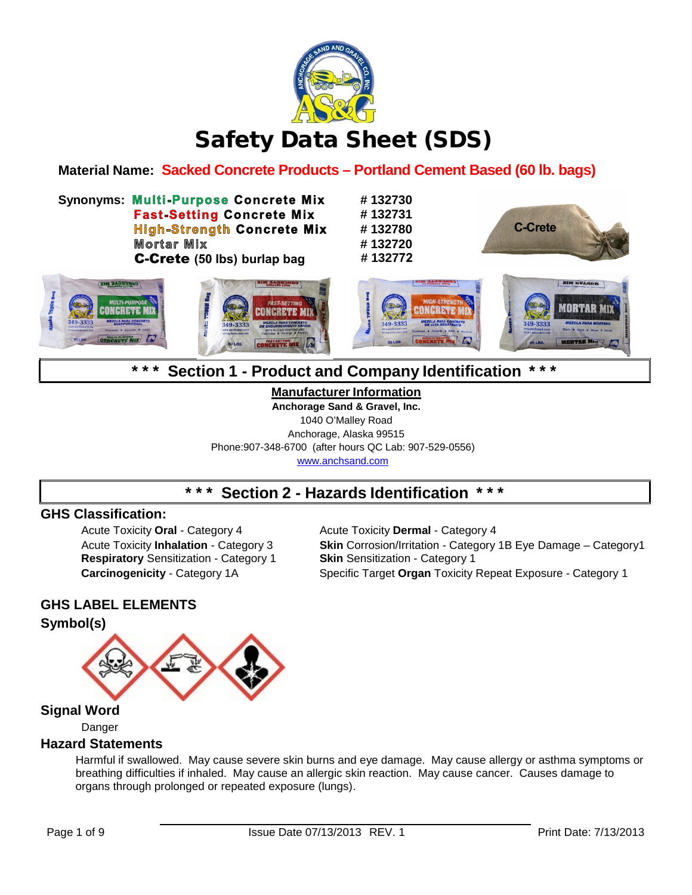

# Safety Data Sheet (SDS)

**Material Name: Sacked Concrete Products – Portland Cement Based (60 lb. bags)**

**Synonyms: # 132730 Fast-Setting Concrete Mix High-Strength Concrete Mix Mortar Mix C-Crete** (50 lbs) burlap bag

**# 132731 # 132780 # 132720**





## **\* \* \* Section 1 - Product and Company Identification \* \* \***

**Manufacturer Information Anchorage Sand & Gravel, Inc.** 1040 O'Malley Road Anchorage, Alaska 99515 Phone:907-348-6700 (after hours QC Lab: 907-529-0556) [www.anchsand.com](http://www.anchsand.com/)

## **\* \* \* Section 2 - Hazards Identification \* \* \***

### **GHS Classification:**

Acute Toxicity **Oral** - Category 4 Acute Toxicity **Dermal** - Category 4 **Respiratory** Sensitization - Category 1

Acute Toxicity **Inhalation** - Category 3 **Skin** Corrosion/Irritation - Category 1B Eye Damage – Category1 **Carcinogenicity** - Category 1A Specific Target **Organ** Toxicity Repeat Exposure - Category 1

### **GHS LABEL ELEMENTS**

### **Symbol(s)**



### **Signal Word**

Danger

#### **Hazard Statements**

Harmful if swallowed. May cause severe skin burns and eye damage. May cause allergy or asthma symptoms or breathing difficulties if inhaled. May cause an allergic skin reaction. May cause cancer. Causes damage to organs through prolonged or repeated exposure (lungs).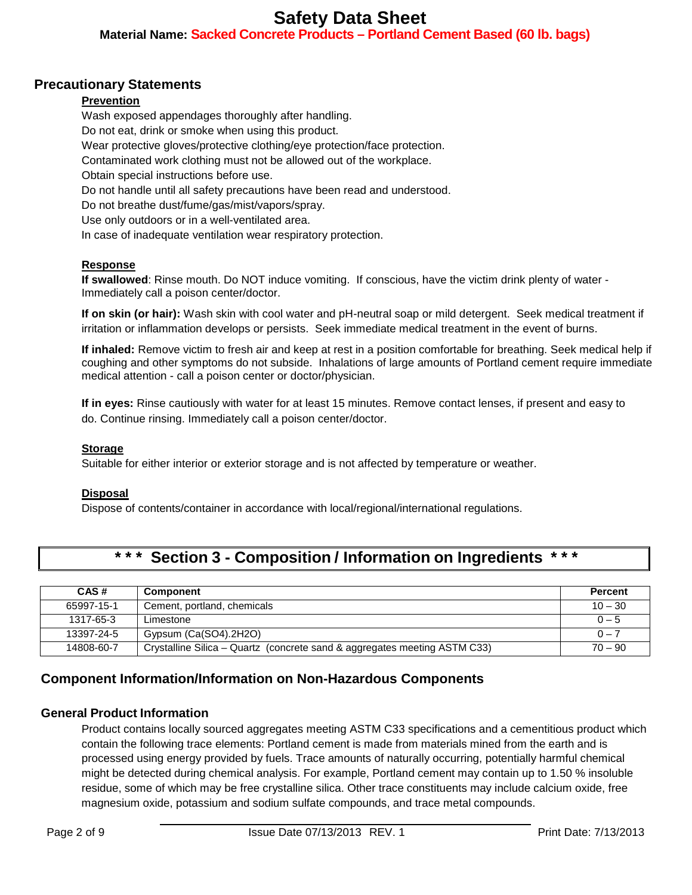**Material Name: Sacked Concrete Products – Portland Cement Based (60 lb. bags)**

### **Precautionary Statements**

#### **Prevention**

Wash exposed appendages thoroughly after handling. Do not eat, drink or smoke when using this product. Wear protective gloves/protective clothing/eye protection/face protection. Contaminated work clothing must not be allowed out of the workplace. Obtain special instructions before use. Do not handle until all safety precautions have been read and understood. Do not breathe dust/fume/gas/mist/vapors/spray. Use only outdoors or in a well-ventilated area. In case of inadequate ventilation wear respiratory protection.

#### **Response**

**If swallowed**: Rinse mouth. Do NOT induce vomiting. If conscious, have the victim drink plenty of water - Immediately call a poison center/doctor.

**If on skin (or hair):** Wash skin with cool water and pH-neutral soap or mild detergent. Seek medical treatment if irritation or inflammation develops or persists. Seek immediate medical treatment in the event of burns.

**If inhaled:** Remove victim to fresh air and keep at rest in a position comfortable for breathing. Seek medical help if coughing and other symptoms do not subside. Inhalations of large amounts of Portland cement require immediate medical attention - call a poison center or doctor/physician.

**If in eyes:** Rinse cautiously with water for at least 15 minutes. Remove contact lenses, if present and easy to do. Continue rinsing. Immediately call a poison center/doctor.

#### **Storage**

Suitable for either interior or exterior storage and is not affected by temperature or weather.

#### **Disposal**

Dispose of contents/container in accordance with local/regional/international regulations.

## **\* \* \* Section 3 - Composition / Information on Ingredients \* \* \***

| CAS#       | <b>Component</b>                                                          | <b>Percent</b> |
|------------|---------------------------------------------------------------------------|----------------|
| 65997-15-1 | Cement, portland, chemicals                                               | $10 - 30$      |
| 1317-65-3  | Limestone                                                                 | $0 - 5$        |
| 13397-24-5 | Gypsum (Ca(SO4).2H2O)                                                     | $0 - 7$        |
| 14808-60-7 | Crystalline Silica – Quartz (concrete sand & aggregates meeting ASTM C33) | $70 - 90$      |

### **Component Information/Information on Non-Hazardous Components**

#### **General Product Information**

Product contains locally sourced aggregates meeting ASTM C33 specifications and a cementitious product which contain the following trace elements: Portland cement is made from materials mined from the earth and is processed using energy provided by fuels. Trace amounts of naturally occurring, potentially harmful chemical might be detected during chemical analysis. For example, Portland cement may contain up to 1.50 % insoluble residue, some of which may be free crystalline silica. Other trace constituents may include calcium oxide, free magnesium oxide, potassium and sodium sulfate compounds, and trace metal compounds.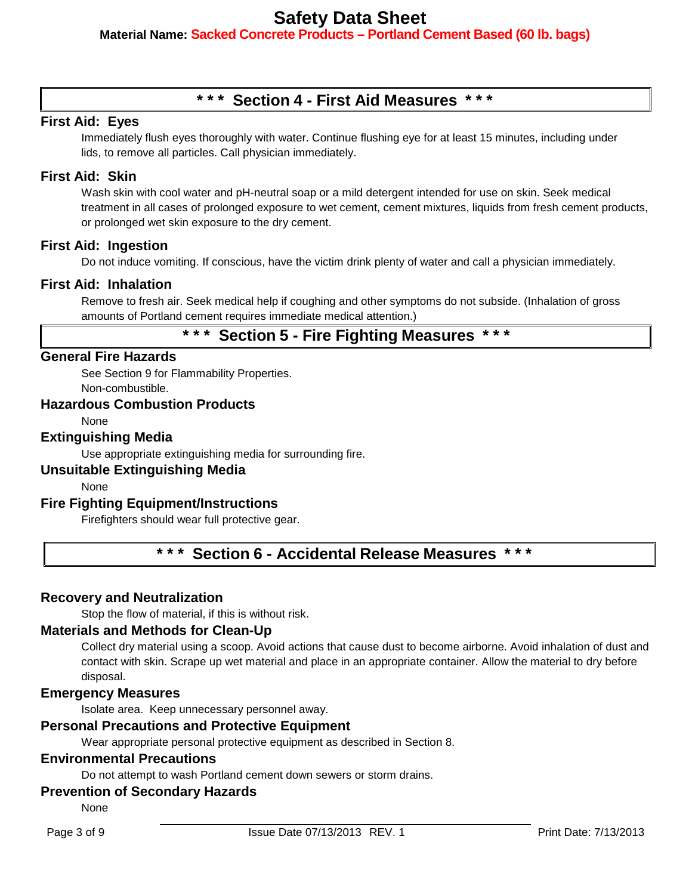**Material Name: Sacked Concrete Products – Portland Cement Based (60 lb. bags)**

## **\* \* \* Section 4 - First Aid Measures \* \* \***

#### **First Aid: Eyes**

Immediately flush eyes thoroughly with water. Continue flushing eye for at least 15 minutes, including under lids, to remove all particles. Call physician immediately.

#### **First Aid: Skin**

Wash skin with cool water and pH-neutral soap or a mild detergent intended for use on skin. Seek medical treatment in all cases of prolonged exposure to wet cement, cement mixtures, liquids from fresh cement products, or prolonged wet skin exposure to the dry cement.

#### **First Aid: Ingestion**

Do not induce vomiting. If conscious, have the victim drink plenty of water and call a physician immediately.

#### **First Aid: Inhalation**

Remove to fresh air. Seek medical help if coughing and other symptoms do not subside. (Inhalation of gross amounts of Portland cement requires immediate medical attention.)

## **\* \* \* Section 5 - Fire Fighting Measures \* \* \***

#### **General Fire Hazards**

See Section 9 for Flammability Properties. Non-combustible.

### **Hazardous Combustion Products**

**None** 

#### **Extinguishing Media**

Use appropriate extinguishing media for surrounding fire.

#### **Unsuitable Extinguishing Media**

None

#### **Fire Fighting Equipment/Instructions**

Firefighters should wear full protective gear.

**\* \* \* Section 6 - Accidental Release Measures \* \* \***

#### **Recovery and Neutralization**

Stop the flow of material, if this is without risk.

#### **Materials and Methods for Clean-Up**

Collect dry material using a scoop. Avoid actions that cause dust to become airborne. Avoid inhalation of dust and contact with skin. Scrape up wet material and place in an appropriate container. Allow the material to dry before disposal.

#### **Emergency Measures**

Isolate area. Keep unnecessary personnel away.

#### **Personal Precautions and Protective Equipment**

Wear appropriate personal protective equipment as described in Section 8.

#### **Environmental Precautions**

Do not attempt to wash Portland cement down sewers or storm drains.

#### **Prevention of Secondary Hazards**

None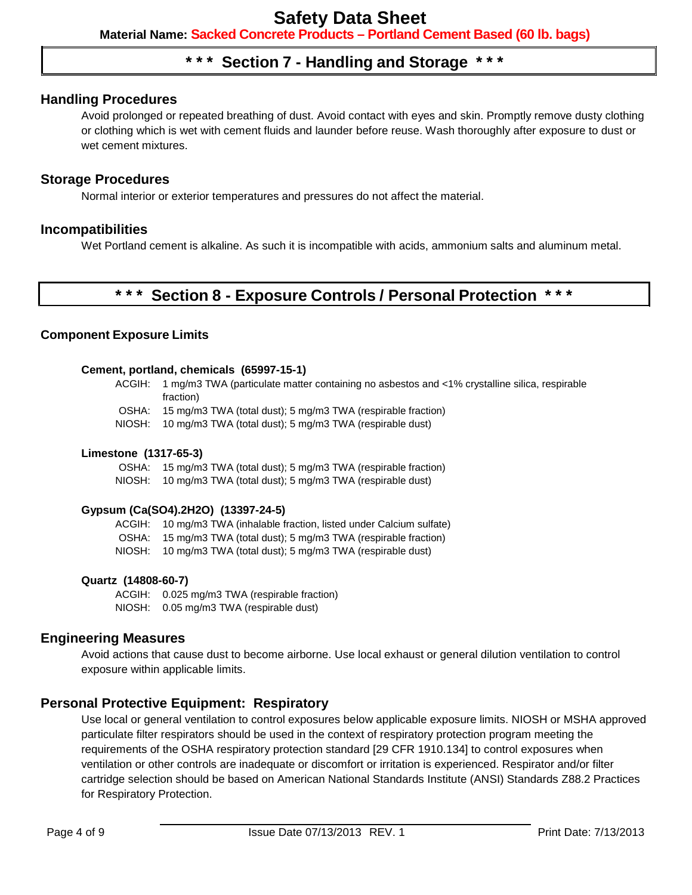**Material Name: Sacked Concrete Products – Portland Cement Based (60 lb. bags)**

### **\* \* \* Section 7 - Handling and Storage \* \* \***

#### **Handling Procedures**

Avoid prolonged or repeated breathing of dust. Avoid contact with eyes and skin. Promptly remove dusty clothing or clothing which is wet with cement fluids and launder before reuse. Wash thoroughly after exposure to dust or wet cement mixtures.

#### **Storage Procedures**

Normal interior or exterior temperatures and pressures do not affect the material.

#### **Incompatibilities**

Wet Portland cement is alkaline. As such it is incompatible with acids, ammonium salts and aluminum metal.

## **\* \* \* Section 8 - Exposure Controls / Personal Protection \* \* \***

#### **Component Exposure Limits**

#### **Cement, portland, chemicals (65997-15-1)**

ACGIH: 1 mg/m3 TWA (particulate matter containing no asbestos and <1% crystalline silica, respirable fraction)

- OSHA: 15 mg/m3 TWA (total dust); 5 mg/m3 TWA (respirable fraction)
- NIOSH: 10 mg/m3 TWA (total dust); 5 mg/m3 TWA (respirable dust)

#### **Limestone (1317-65-3)**

OSHA: 15 mg/m3 TWA (total dust); 5 mg/m3 TWA (respirable fraction) NIOSH: 10 mg/m3 TWA (total dust); 5 mg/m3 TWA (respirable dust)

#### **Gypsum (Ca(SO4).2H2O) (13397-24-5)**

ACGIH: 10 mg/m3 TWA (inhalable fraction, listed under Calcium sulfate) OSHA: 15 mg/m3 TWA (total dust); 5 mg/m3 TWA (respirable fraction) NIOSH: 10 mg/m3 TWA (total dust); 5 mg/m3 TWA (respirable dust)

#### **Quartz (14808-60-7)**

ACGIH: 0.025 mg/m3 TWA (respirable fraction) NIOSH: 0.05 mg/m3 TWA (respirable dust)

#### **Engineering Measures**

Avoid actions that cause dust to become airborne. Use local exhaust or general dilution ventilation to control exposure within applicable limits.

#### **Personal Protective Equipment: Respiratory**

Use local or general ventilation to control exposures below applicable exposure limits. NIOSH or MSHA approved particulate filter respirators should be used in the context of respiratory protection program meeting the requirements of the OSHA respiratory protection standard [29 CFR 1910.134] to control exposures when ventilation or other controls are inadequate or discomfort or irritation is experienced. Respirator and/or filter cartridge selection should be based on American National Standards Institute (ANSI) Standards Z88.2 Practices for Respiratory Protection.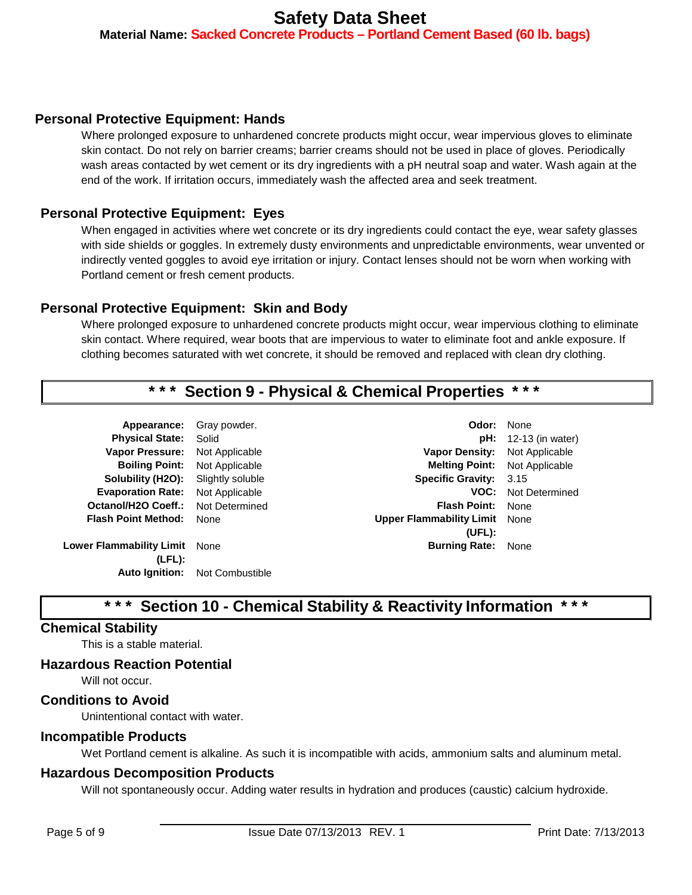**Material Name: Sacked Concrete Products – Portland Cement Based (60 lb. bags)**

#### **Personal Protective Equipment: Hands**

Where prolonged exposure to unhardened concrete products might occur, wear impervious gloves to eliminate skin contact. Do not rely on barrier creams; barrier creams should not be used in place of gloves. Periodically wash areas contacted by wet cement or its dry ingredients with a pH neutral soap and water. Wash again at the end of the work. If irritation occurs, immediately wash the affected area and seek treatment.

### **Personal Protective Equipment: Eyes**

When engaged in activities where wet concrete or its dry ingredients could contact the eye, wear safety glasses with side shields or goggles. In extremely dusty environments and unpredictable environments, wear unvented or indirectly vented goggles to avoid eye irritation or injury. Contact lenses should not be worn when working with Portland cement or fresh cement products.

### **Personal Protective Equipment: Skin and Body**

Where prolonged exposure to unhardened concrete products might occur, wear impervious clothing to eliminate skin contact. Where required, wear boots that are impervious to water to eliminate foot and ankle exposure. If clothing becomes saturated with wet concrete, it should be removed and replaced with clean dry clothing.

### **Section 9 - Physical & Chemical Properties**

| Appearance:                     | Gray powder.     | Odor:                           | None      |
|---------------------------------|------------------|---------------------------------|-----------|
| <b>Physical State:</b>          | Solid            | pH:                             | $12 - 13$ |
| <b>Vapor Pressure:</b>          | Not Applicable   | <b>Vapor Density:</b>           | Not A     |
| <b>Boiling Point:</b>           | Not Applicable   | <b>Melting Point:</b>           | Not A     |
| Solubility (H2O):               | Slightly soluble | <b>Specific Gravity:</b>        | 3.15      |
| <b>Evaporation Rate:</b>        | Not Applicable   | VOC:                            | Not D     |
| Octanol/H2O Coeff.:             | Not Determined   | <b>Flash Point:</b>             | None      |
| <b>Flash Point Method:</b>      | None             | <b>Upper Flammability Limit</b> | None      |
|                                 |                  | (UEL):                          |           |
| <b>Lower Flammability Limit</b> | None             | <b>Burning Rate:</b>            | None      |
| (LFL):                          |                  |                                 |           |

**Auto Ignition:** Not Combustible

**Ador:** None **pH:** 12-13 (in water) **Vapor Density:** Not Applicable **Melting Point:** Not Applicable **Specific Gravity:** 3.15 **VOC:** Not Determined **(UFL): Burning Rate: None** 

## **Section 10 - Chemical Stability & Reactivity Information**

#### **Chemical Stability**

This is a stable material.

#### **Hazardous Reaction Potential**

Will not occur.

#### **Conditions to Avoid**

Unintentional contact with water.

#### **Incompatible Products**

Wet Portland cement is alkaline. As such it is incompatible with acids, ammonium salts and aluminum metal.

#### **Hazardous Decomposition Products**

Will not spontaneously occur. Adding water results in hydration and produces (caustic) calcium hydroxide.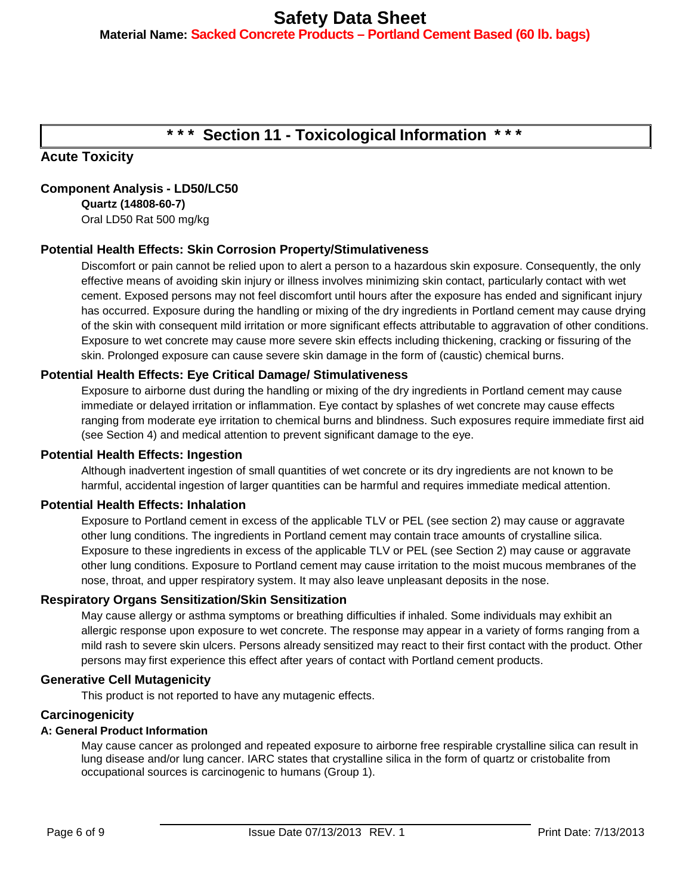**Material Name: Sacked Concrete Products – Portland Cement Based (60 lb. bags)**

## **\* \* \* Section 11 - Toxicological Information \* \* \***

### **Acute Toxicity**

### **Component Analysis - LD50/LC50**

**Quartz (14808-60-7)** Oral LD50 Rat 500 mg/kg

### **Potential Health Effects: Skin Corrosion Property/Stimulativeness**

Discomfort or pain cannot be relied upon to alert a person to a hazardous skin exposure. Consequently, the only effective means of avoiding skin injury or illness involves minimizing skin contact, particularly contact with wet cement. Exposed persons may not feel discomfort until hours after the exposure has ended and significant injury has occurred. Exposure during the handling or mixing of the dry ingredients in Portland cement may cause drying of the skin with consequent mild irritation or more significant effects attributable to aggravation of other conditions. Exposure to wet concrete may cause more severe skin effects including thickening, cracking or fissuring of the skin. Prolonged exposure can cause severe skin damage in the form of (caustic) chemical burns.

#### **Potential Health Effects: Eye Critical Damage/ Stimulativeness**

Exposure to airborne dust during the handling or mixing of the dry ingredients in Portland cement may cause immediate or delayed irritation or inflammation. Eye contact by splashes of wet concrete may cause effects ranging from moderate eye irritation to chemical burns and blindness. Such exposures require immediate first aid (see Section 4) and medical attention to prevent significant damage to the eye.

#### **Potential Health Effects: Ingestion**

Although inadvertent ingestion of small quantities of wet concrete or its dry ingredients are not known to be harmful, accidental ingestion of larger quantities can be harmful and requires immediate medical attention.

#### **Potential Health Effects: Inhalation**

Exposure to Portland cement in excess of the applicable TLV or PEL (see section 2) may cause or aggravate other lung conditions. The ingredients in Portland cement may contain trace amounts of crystalline silica. Exposure to these ingredients in excess of the applicable TLV or PEL (see Section 2) may cause or aggravate other lung conditions. Exposure to Portland cement may cause irritation to the moist mucous membranes of the nose, throat, and upper respiratory system. It may also leave unpleasant deposits in the nose.

#### **Respiratory Organs Sensitization/Skin Sensitization**

May cause allergy or asthma symptoms or breathing difficulties if inhaled. Some individuals may exhibit an allergic response upon exposure to wet concrete. The response may appear in a variety of forms ranging from a mild rash to severe skin ulcers. Persons already sensitized may react to their first contact with the product. Other persons may first experience this effect after years of contact with Portland cement products.

#### **Generative Cell Mutagenicity**

This product is not reported to have any mutagenic effects.

#### **Carcinogenicity**

#### **A: General Product Information**

May cause cancer as prolonged and repeated exposure to airborne free respirable crystalline silica can result in lung disease and/or lung cancer. IARC states that crystalline silica in the form of quartz or cristobalite from occupational sources is carcinogenic to humans (Group 1).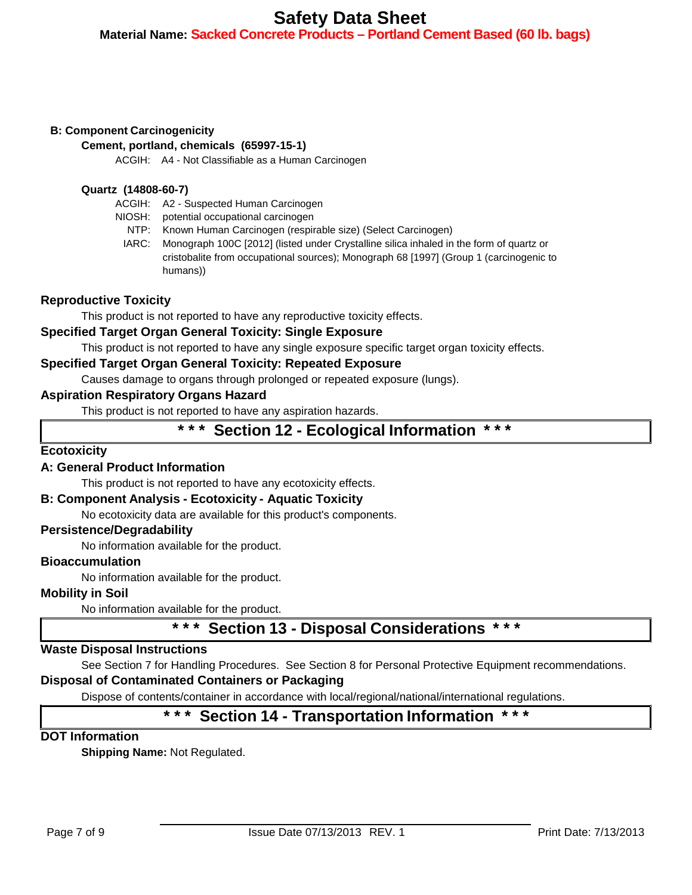### **Material Name: Sacked Concrete Products – Portland Cement Based (60 lb. bags)**

#### **B: Component Carcinogenicity**

**Cement, portland, chemicals (65997-15-1)**

ACGIH: A4 - Not Classifiable as a Human Carcinogen

#### **Quartz (14808-60-7)**

- ACGIH: A2 Suspected Human Carcinogen
- NIOSH: potential occupational carcinogen
	- NTP: Known Human Carcinogen (respirable size) (Select Carcinogen)
	- IARC: Monograph 100C [2012] (listed under Crystalline silica inhaled in the form of quartz or cristobalite from occupational sources); Monograph 68 [1997] (Group 1 (carcinogenic to humans))

#### **Reproductive Toxicity**

This product is not reported to have any reproductive toxicity effects.

#### **Specified Target Organ General Toxicity: Single Exposure**

This product is not reported to have any single exposure specific target organ toxicity effects.

#### **Specified Target Organ General Toxicity: Repeated Exposure**

Causes damage to organs through prolonged or repeated exposure (lungs).

#### **Aspiration Respiratory Organs Hazard**

This product is not reported to have any aspiration hazards.

### **\* \* \* Section 12 - Ecological Information \* \* \***

#### **Ecotoxicity**

#### **A: General Product Information**

This product is not reported to have any ecotoxicity effects.

#### **B: Component Analysis - Ecotoxicity - Aquatic Toxicity**

No ecotoxicity data are available for this product's components.

#### **Persistence/Degradability**

No information available for the product.

#### **Bioaccumulation**

No information available for the product.

#### **Mobility in Soil**

No information available for the product.

## **\* \* \* Section 13 - Disposal Considerations \* \* \***

#### **Waste Disposal Instructions**

See Section 7 for Handling Procedures. See Section 8 for Personal Protective Equipment recommendations.

#### **Disposal of Contaminated Containers or Packaging**

Dispose of contents/container in accordance with local/regional/national/international regulations.

## **\* \* \* Section 14 - Transportation Information \* \* \***

#### **DOT Information**

**Shipping Name:** Not Regulated.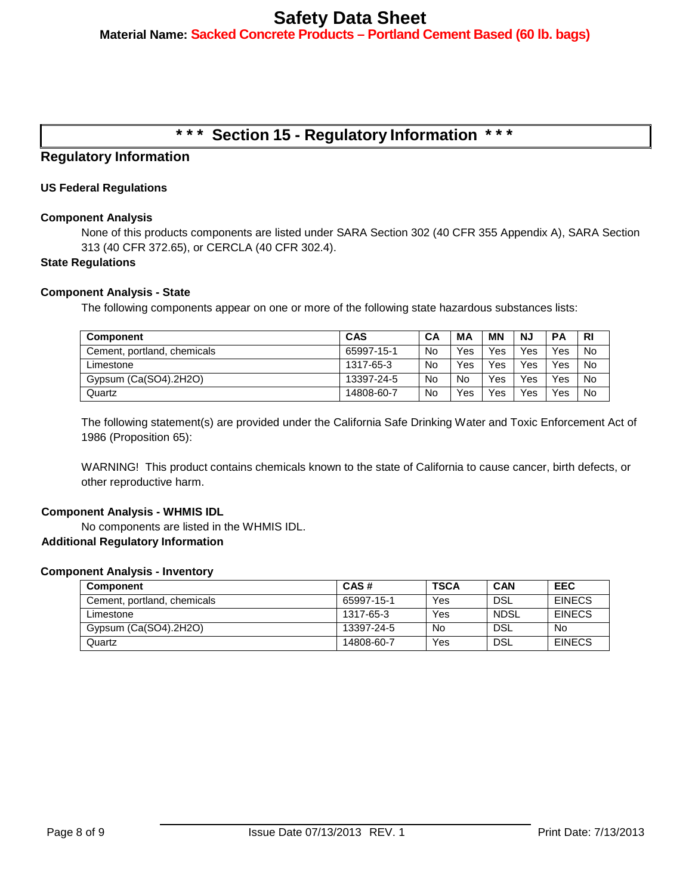**Material Name: Sacked Concrete Products – Portland Cement Based (60 lb. bags)**

## **\* \* \* Section 15 - Regulatory Information \* \* \***

### **Regulatory Information**

#### **US Federal Regulations**

#### **Component Analysis**

None of this products components are listed under SARA Section 302 (40 CFR 355 Appendix A), SARA Section 313 (40 CFR 372.65), or CERCLA (40 CFR 302.4).

#### **State Regulations**

#### **Component Analysis - State**

The following components appear on one or more of the following state hazardous substances lists:

| <b>Component</b>            | <b>CAS</b> | CА | ΜA        | <b>MN</b> | NJ  | PА         | <b>RI</b> |
|-----------------------------|------------|----|-----------|-----------|-----|------------|-----------|
| Cement, portland, chemicals | 65997-15-1 | No | Yes       | Yes       | Yes | Yes        | No        |
| Limestone                   | 1317-65-3  | No | Yes       | Yes       | Yes | Yes        | <b>No</b> |
| Gypsum (Ca(SO4).2H2O)       | 13397-24-5 | No | <b>No</b> | Yes       | Yes | <b>Yes</b> | <b>No</b> |
| Quartz                      | 14808-60-7 | No | Yes       | Yes       | Yes | Yes        | No        |

The following statement(s) are provided under the California Safe Drinking Water and Toxic Enforcement Act of 1986 (Proposition 65):

WARNING! This product contains chemicals known to the state of California to cause cancer, birth defects, or other reproductive harm.

#### **Component Analysis - WHMIS IDL**

No components are listed in the WHMIS IDL. **Additional Regulatory Information**

#### **Component Analysis - Inventory**

| <b>Component</b>            | CAS#       | <b>TSCA</b> | <b>CAN</b>  | <b>EEC</b>    |
|-----------------------------|------------|-------------|-------------|---------------|
| Cement, portland, chemicals | 65997-15-1 | Yes         | DSL         | <b>EINECS</b> |
| Limestone                   | 1317-65-3  | Yes         | <b>NDSL</b> | <b>EINECS</b> |
| Gypsum (Ca(SO4).2H2O)       | 13397-24-5 | No          | DSL         | No.           |
| Quartz                      | 14808-60-7 | Yes         | <b>DSL</b>  | <b>EINECS</b> |